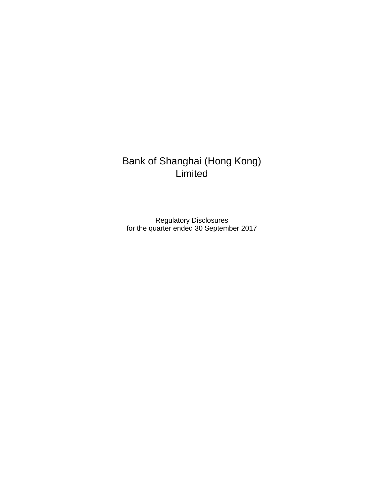## Bank of Shanghai (Hong Kong) **Limited**

Regulatory Disclosures for the quarter ended 30 September 2017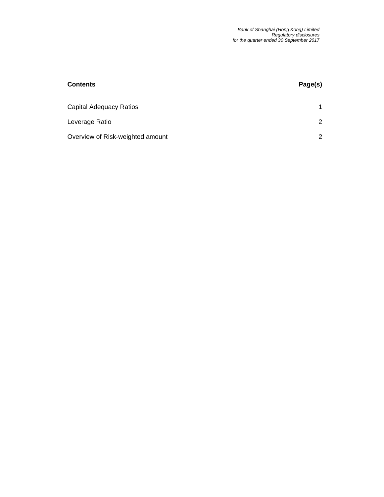| <b>Contents</b>                  | Page(s)               |
|----------------------------------|-----------------------|
| Capital Adequacy Ratios          |                       |
| Leverage Ratio                   | $\mathbf{2}^{\prime}$ |
| Overview of Risk-weighted amount | $\mathcal{P}$         |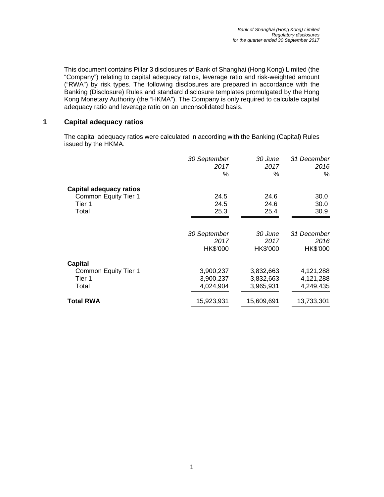This document contains Pillar 3 disclosures of Bank of Shanghai (Hong Kong) Limited (the "Company") relating to capital adequacy ratios, leverage ratio and risk-weighted amount ("RWA") by risk types. The following disclosures are prepared in accordance with the Banking (Disclosure) Rules and standard disclosure templates promulgated by the Hong Kong Monetary Authority (the "HKMA"). The Company is only required to calculate capital adequacy ratio and leverage ratio on an unconsolidated basis.

## **1 Capital adequacy ratios**

The capital adequacy ratios were calculated in according with the Banking (Capital) Rules issued by the HKMA.

|                                | 30 September<br>2017 | 30 June<br>2017 | 31 December<br>2016 |
|--------------------------------|----------------------|-----------------|---------------------|
|                                | ℅                    | %               | ℅                   |
| <b>Capital adequacy ratios</b> |                      |                 |                     |
| Common Equity Tier 1           | 24.5                 | 24.6            | 30.0                |
| Tier 1                         | 24.5                 | 24.6            | 30.0                |
| Total                          | 25.3                 | 25.4            | 30.9                |
|                                | 30 September         | 30 June         | 31 December         |
|                                | 2017                 | 2017            | 2016                |
|                                | HK\$'000             | HK\$'000        | HK\$'000            |
| Capital                        |                      |                 |                     |
| Common Equity Tier 1           | 3,900,237            | 3,832,663       | 4,121,288           |
| Tier 1                         | 3,900,237            | 3,832,663       | 4,121,288           |
| Total                          | 4,024,904            | 3,965,931       | 4,249,435           |
| <b>Total RWA</b>               | 15,923,931           | 15,609,691      | 13,733,301          |